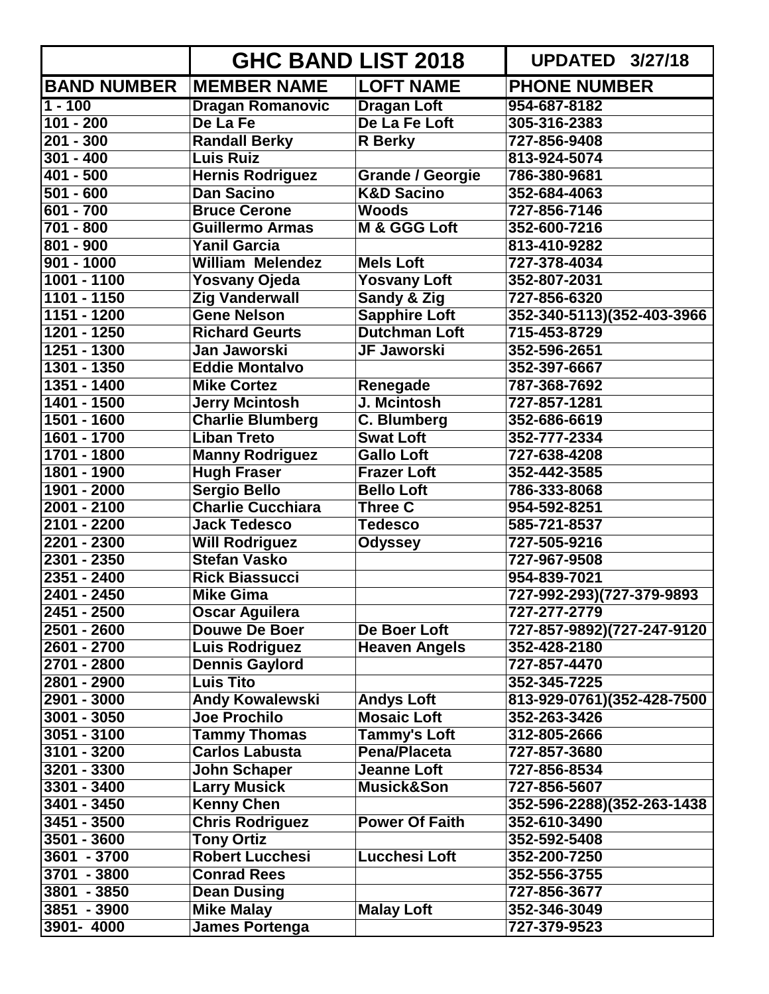|                    | <b>GHC BAND LIST 2018</b> |                         | <b>UPDATED 3/27/18</b>     |
|--------------------|---------------------------|-------------------------|----------------------------|
| <b>BAND NUMBER</b> | <b>MEMBER NAME</b>        | <b>LOFT NAME</b>        | <b>PHONE NUMBER</b>        |
| $1 - 100$          | <b>Dragan Romanovic</b>   | <b>Dragan Loft</b>      | 954-687-8182               |
| $101 - 200$        | De La Fe                  | De La Fe Loft           | 305-316-2383               |
| $201 - 300$        | <b>Randall Berky</b>      | <b>R</b> Berky          | 727-856-9408               |
| $301 - 400$        | Luis Ruiz                 |                         | 813-924-5074               |
| 401 - 500          | <b>Hernis Rodriguez</b>   | <b>Grande / Georgie</b> | 786-380-9681               |
| $501 - 600$        | <b>Dan Sacino</b>         | <b>K&amp;D Sacino</b>   | 352-684-4063               |
| 601 - 700          | <b>Bruce Cerone</b>       | <b>Woods</b>            | 727-856-7146               |
| 701 - 800          | <b>Guillermo Armas</b>    | M & GGG Loft            | 352-600-7216               |
| $801 - 900$        | <b>Yanil Garcia</b>       |                         | 813-410-9282               |
| $901 - 1000$       | <b>William Melendez</b>   | <b>Mels Loft</b>        | 727-378-4034               |
| 1001 - 1100        | Yosvany Ojeda             | <b>Yosvany Loft</b>     | 352-807-2031               |
| 1101 - 1150        | <b>Zig Vanderwall</b>     | Sandy & Zig             | 727-856-6320               |
| $1151 - 1200$      | <b>Gene Nelson</b>        | <b>Sapphire Loft</b>    | 352-340-5113)(352-403-3966 |
| 1201 - 1250        | <b>Richard Geurts</b>     | <b>Dutchman Loft</b>    | 715-453-8729               |
| 1251 - 1300        | Jan Jaworski              | <b>JF Jaworski</b>      | 352-596-2651               |
| 1301 - 1350        | <b>Eddie Montalvo</b>     |                         | 352-397-6667               |
| 1351 - 1400        | <b>Mike Cortez</b>        | Renegade                | 787-368-7692               |
| 1401 - 1500        | <b>Jerry Mcintosh</b>     | J. Mcintosh             | 727-857-1281               |
| $1501 - 1600$      | <b>Charlie Blumberg</b>   | C. Blumberg             | 352-686-6619               |
| 1601 - 1700        | <b>Liban Treto</b>        | <b>Swat Loft</b>        | 352-777-2334               |
| 1701 - 1800        | <b>Manny Rodriguez</b>    | <b>Gallo Loft</b>       | 727-638-4208               |
| 1801 - 1900        | <b>Hugh Fraser</b>        | <b>Frazer Loft</b>      | 352-442-3585               |
| 1901 - 2000        | <b>Sergio Bello</b>       | <b>Bello Loft</b>       | 786-333-8068               |
| 2001 - 2100        | <b>Charlie Cucchiara</b>  | <b>Three C</b>          | 954-592-8251               |
| 2101 - 2200        | <b>Jack Tedesco</b>       | <b>Tedesco</b>          | 585-721-8537               |
| 2201 - 2300        | <b>Will Rodriguez</b>     | <b>Odyssey</b>          | 727-505-9216               |
| 2301 - 2350        | <b>Stefan Vasko</b>       |                         | 727-967-9508               |
| 2351 - 2400        | <b>Rick Biassucci</b>     |                         | 954-839-7021               |
| $2401 - 2450$      | <b>Mike Gima</b>          |                         | 727-992-293)(727-379-9893  |
| 2451 - 2500        | <b>Oscar Aguilera</b>     |                         | 727-277-2779               |
| 2501 - 2600        | <b>Douwe De Boer</b>      | De Boer Loft            | 727-857-9892)(727-247-9120 |
| 2601 - 2700        | Luis Rodriguez            | <b>Heaven Angels</b>    | 352-428-2180               |
| 2701 - 2800        | <b>Dennis Gaylord</b>     |                         | 727-857-4470               |
| $2801 - 2900$      | <b>Luis Tito</b>          |                         | 352-345-7225               |
| 2901 - 3000        | <b>Andy Kowalewski</b>    | <b>Andys Loft</b>       | 813-929-0761)(352-428-7500 |
| $3001 - 3050$      | <b>Joe Prochilo</b>       | <b>Mosaic Loft</b>      | 352-263-3426               |
| $3051 - 3100$      | <b>Tammy Thomas</b>       | <b>Tammy's Loft</b>     | 312-805-2666               |
| 3101 - 3200        | <b>Carlos Labusta</b>     | <b>Pena/Placeta</b>     | 727-857-3680               |
| 3201 - 3300        | <b>John Schaper</b>       | <b>Jeanne Loft</b>      | 727-856-8534               |
| 3301 - 3400        | <b>Larry Musick</b>       | <b>Musick&amp;Son</b>   | 727-856-5607               |
| 3401 - 3450        | <b>Kenny Chen</b>         |                         | 352-596-2288)(352-263-1438 |
| 3451 - 3500        | <b>Chris Rodriguez</b>    | <b>Power Of Faith</b>   | 352-610-3490               |
| $3501 - 3600$      | <b>Tony Ortiz</b>         |                         | 352-592-5408               |
| 3601 - 3700        | <b>Robert Lucchesi</b>    | Lucchesi Loft           | 352-200-7250               |
| 3701 - 3800        | <b>Conrad Rees</b>        |                         | 352-556-3755               |
| 3801 - 3850        | <b>Dean Dusing</b>        |                         | 727-856-3677               |
| 3851 - 3900        | <b>Mike Malay</b>         | <b>Malay Loft</b>       | 352-346-3049               |
| 3901-4000          | <b>James Portenga</b>     |                         | 727-379-9523               |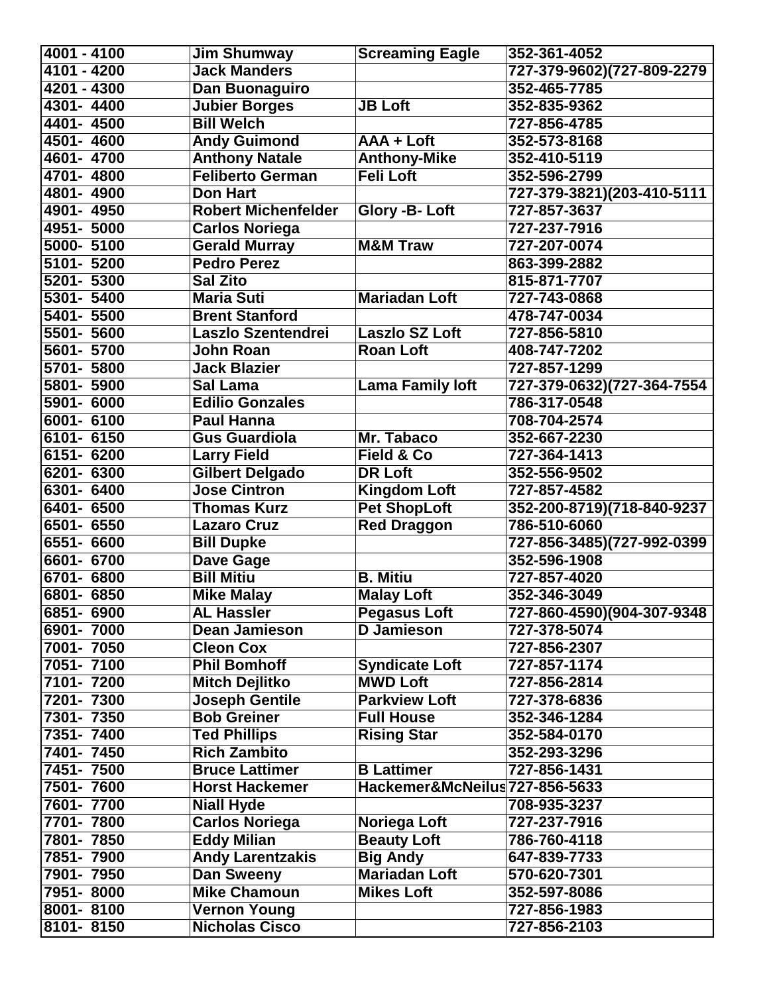| $\sqrt{4001 - 4100}$ | Jim Shumway                | <b>Screaming Eagle</b>         | 352-361-4052               |
|----------------------|----------------------------|--------------------------------|----------------------------|
| 4101 - 4200          | <b>Jack Manders</b>        |                                | 727-379-9602)(727-809-2279 |
| 4201 - 4300          | Dan Buonaguiro             |                                | 352-465-7785               |
| 4301-4400            | <b>Jubier Borges</b>       | <b>JB Loft</b>                 | 352-835-9362               |
| 4401-4500            | <b>Bill Welch</b>          |                                | 727-856-4785               |
| 4501-4600            | <b>Andy Guimond</b>        | AAA + Loft                     | 352-573-8168               |
| 4601-4700            | <b>Anthony Natale</b>      | <b>Anthony-Mike</b>            | 352-410-5119               |
| 4701-4800            | <b>Feliberto German</b>    | <b>Feli Loft</b>               | 352-596-2799               |
| 4801-4900            | <b>Don Hart</b>            |                                | 727-379-3821)(203-410-5111 |
| 4901-4950            | <b>Robert Michenfelder</b> | Glory -B-Loft                  | 727-857-3637               |
| 4951-5000            | Carlos Noriega             |                                | 727-237-7916               |
| 5000-5100            | <b>Gerald Murray</b>       | <b>M&amp;M Traw</b>            | 727-207-0074               |
| 5101-5200            | <b>Pedro Perez</b>         |                                | 863-399-2882               |
| 5201-5300            | <b>Sal Zito</b>            |                                | 815-871-7707               |
| 5301- 5400           | <b>Maria Suti</b>          | <b>Mariadan Loft</b>           | 727-743-0868               |
| 5401-5500            | <b>Brent Stanford</b>      |                                | 478-747-0034               |
| 5501-5600            | Laszlo Szentendrei         | <b>Laszlo SZ Loft</b>          | 727-856-5810               |
| 5601-5700            | John Roan                  | <b>Roan Loft</b>               | 408-747-7202               |
| 5701-5800            | <b>Jack Blazier</b>        |                                | 727-857-1299               |
| 5801-5900            | Sal Lama                   | <b>Lama Family loft</b>        | 727-379-0632)(727-364-7554 |
| 5901- 6000           | <b>Edilio Gonzales</b>     |                                | 786-317-0548               |
| 6001-6100            | <b>Paul Hanna</b>          |                                | 708-704-2574               |
| 6101-6150            | <b>Gus Guardiola</b>       | Mr. Tabaco                     | 352-667-2230               |
| 6151-6200            | <b>Larry Field</b>         | <b>Field &amp; Co</b>          | 727-364-1413               |
| 6201-6300            | <b>Gilbert Delgado</b>     | <b>DR Loft</b>                 | 352-556-9502               |
| 6301- 6400           | <b>Jose Cintron</b>        | <b>Kingdom Loft</b>            | 727-857-4582               |
| 6401-6500            | <b>Thomas Kurz</b>         | <b>Pet ShopLoft</b>            | 352-200-8719)(718-840-9237 |
| 6501- 6550           | <b>Lazaro Cruz</b>         | <b>Red Draggon</b>             | 786-510-6060               |
| 6551- 6600           | <b>Bill Dupke</b>          |                                | 727-856-3485)(727-992-0399 |
| 6601-6700            | Dave Gage                  |                                | 352-596-1908               |
| 6701-6800            | <b>Bill Mitiu</b>          | <b>B. Mitiu</b>                | 727-857-4020               |
| 6801- 6850           | <b>Mike Malay</b>          | <b>Malay Loft</b>              | 352-346-3049               |
| 6851-6900            | <b>AL Hassler</b>          | <b>Pegasus Loft</b>            | 727-860-4590)(904-307-9348 |
| 6901-7000            | <b>Dean Jamieson</b>       | <b>D</b> Jamieson              | 727-378-5074               |
| 7001-7050            | <b>Cleon Cox</b>           |                                | 727-856-2307               |
| 7051-7100            | <b>Phil Bomhoff</b>        | <b>Syndicate Loft</b>          | 727-857-1174               |
| 7101-7200            | <b>Mitch Dejlitko</b>      | <b>MWD Loft</b>                | 727-856-2814               |
| 7201-7300            | <b>Joseph Gentile</b>      | <b>Parkview Loft</b>           | 727-378-6836               |
| 7301-7350            | <b>Bob Greiner</b>         | <b>Full House</b>              | 352-346-1284               |
| 7351-7400            | <b>Ted Phillips</b>        | <b>Rising Star</b>             | 352-584-0170               |
| 7401-7450            | <b>Rich Zambito</b>        |                                | 352-293-3296               |
| 7451-7500            | <b>Bruce Lattimer</b>      | <b>B</b> Lattimer              | 727-856-1431               |
| 7501-7600            | <b>Horst Hackemer</b>      | Hackemer&McNeilus 727-856-5633 |                            |
| 7601-7700            | <b>Niall Hyde</b>          |                                | 708-935-3237               |
| 7701-7800            | <b>Carlos Noriega</b>      | Noriega Loft                   | 727-237-7916               |
| 7801-7850            | <b>Eddy Milian</b>         | <b>Beauty Loft</b>             | 786-760-4118               |
| 7851-7900            | <b>Andy Larentzakis</b>    | <b>Big Andy</b>                | 647-839-7733               |
| 7901-7950            | Dan Sweeny                 | <b>Mariadan Loft</b>           | 570-620-7301               |
| 7951-8000            | <b>Mike Chamoun</b>        | <b>Mikes Loft</b>              | 352-597-8086               |
| 8001-8100            | <b>Vernon Young</b>        |                                | 727-856-1983               |
| 8101-8150            | <b>Nicholas Cisco</b>      |                                | 727-856-2103               |
|                      |                            |                                |                            |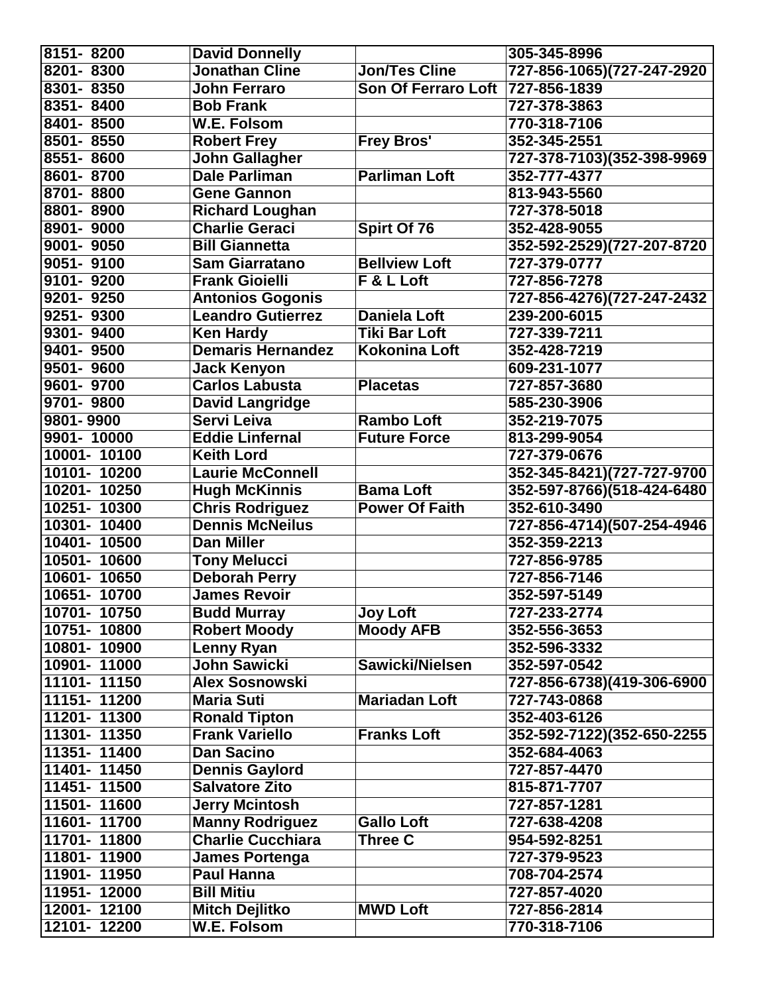| 8151-8200    | <b>David Donnelly</b>                          |                            | 305-345-8996               |
|--------------|------------------------------------------------|----------------------------|----------------------------|
| 8201-8300    | <b>Jonathan Cline</b>                          | <b>Jon/Tes Cline</b>       | 727-856-1065)(727-247-2920 |
| 8301-8350    | <b>John Ferraro</b>                            | <b>Son Of Ferraro Loft</b> | 727-856-1839               |
| 8351-8400    | <b>Bob Frank</b>                               |                            | 727-378-3863               |
| 8401-8500    | <b>W.E. Folsom</b>                             |                            | 770-318-7106               |
| 8501-8550    | <b>Robert Frey</b>                             | <b>Frey Bros'</b>          | 352-345-2551               |
| 8551-8600    | John Gallagher                                 |                            | 727-378-7103)(352-398-9969 |
| 8601-8700    | <b>Dale Parliman</b>                           | <b>Parliman Loft</b>       | 352-777-4377               |
| 8701-8800    | <b>Gene Gannon</b>                             |                            | 813-943-5560               |
| 8801-8900    | <b>Richard Loughan</b>                         |                            | 727-378-5018               |
| 8901-9000    | <b>Charlie Geraci</b>                          | Spirt Of 76                | 352-428-9055               |
| 9001-9050    | <b>Bill Giannetta</b>                          |                            | 352-592-2529)(727-207-8720 |
| 9051-9100    | <b>Sam Giarratano</b>                          | <b>Bellview Loft</b>       | 727-379-0777               |
| 9101-9200    | <b>Frank Gioielli</b>                          | F & L Loft                 | 727-856-7278               |
| 9201-9250    | <b>Antonios Gogonis</b>                        |                            | 727-856-4276)(727-247-2432 |
| 9251-9300    | <b>Leandro Gutierrez</b>                       | <b>Daniela Loft</b>        | 239-200-6015               |
| 9301-9400    | <b>Ken Hardy</b>                               | <b>Tiki Bar Loft</b>       | 727-339-7211               |
| 9401-9500    | <b>Demaris Hernandez</b>                       | Kokonina Loft              | 352-428-7219               |
| 9501-9600    | <b>Jack Kenyon</b>                             |                            | 609-231-1077               |
| 9601-9700    | <b>Carlos Labusta</b>                          | <b>Placetas</b>            | 727-857-3680               |
| 9701-9800    | <b>David Langridge</b>                         |                            | 585-230-3906               |
| 9801-9900    | Servi Leiva                                    | <b>Rambo Loft</b>          | 352-219-7075               |
| 9901-10000   | <b>Eddie Linfernal</b>                         | <b>Future Force</b>        | 813-299-9054               |
| 10001-10100  | <b>Keith Lord</b>                              |                            | 727-379-0676               |
| 10101-10200  | <b>Laurie McConnell</b>                        |                            | 352-345-8421)(727-727-9700 |
| 10201-10250  | <b>Hugh McKinnis</b>                           | <b>Bama Loft</b>           | 352-597-8766)(518-424-6480 |
| 10251-10300  | <b>Chris Rodriguez</b>                         | <b>Power Of Faith</b>      | 352-610-3490               |
| 10301-10400  | <b>Dennis McNeilus</b>                         |                            | 727-856-4714)(507-254-4946 |
| 10401-10500  | <b>Dan Miller</b>                              |                            | 352-359-2213               |
| 10501-10600  | <b>Tony Melucci</b>                            |                            | 727-856-9785               |
| 10601-10650  | <b>Deborah Perry</b>                           |                            | 727-856-7146               |
| 10651-10700  | <b>James Revoir</b>                            |                            | 352-597-5149               |
| 10701-10750  | <b>Budd Murray</b>                             | <b>Joy Loft</b>            | 727-233-2774               |
| 10751-10800  | <b>Robert Moody</b>                            | <b>Moody AFB</b>           | 352-556-3653               |
| 10801-10900  | Lenny Ryan                                     |                            | 352-596-3332               |
| 10901-11000  | John Sawicki                                   | Sawicki/Nielsen            | 352-597-0542               |
| 11101-11150  | <b>Alex Sosnowski</b>                          |                            | 727-856-6738)(419-306-6900 |
| 11151-11200  | <b>Maria Suti</b>                              | <b>Mariadan Loft</b>       | 727-743-0868               |
| 11201-11300  | <b>Ronald Tipton</b>                           |                            | 352-403-6126               |
| 11301- 11350 | <b>Frank Variello</b>                          | <b>Franks Loft</b>         | 352-592-7122)(352-650-2255 |
| 11351-11400  | <b>Dan Sacino</b>                              |                            | 352-684-4063               |
| 11401-11450  |                                                |                            | 727-857-4470               |
|              | <b>Dennis Gaylord</b><br><b>Salvatore Zito</b> |                            |                            |
| 11451-11500  |                                                |                            | 815-871-7707               |
| 11501-11600  | <b>Jerry Mcintosh</b>                          |                            | 727-857-1281               |
| 11601-11700  | <b>Manny Rodriguez</b>                         | <b>Gallo Loft</b>          | 727-638-4208               |
| 11701-11800  | <b>Charlie Cucchiara</b>                       | Three C                    | 954-592-8251               |
| 11801-11900  | <b>James Portenga</b>                          |                            | 727-379-9523               |
| 11901-11950  | <b>Paul Hanna</b>                              |                            | 708-704-2574               |
| 11951-12000  | <b>Bill Mitiu</b>                              |                            | 727-857-4020               |
| 12001-12100  | <b>Mitch Dejlitko</b>                          | <b>MWD Loft</b>            | 727-856-2814               |
| 12101-12200  | <b>W.E. Folsom</b>                             |                            | 770-318-7106               |